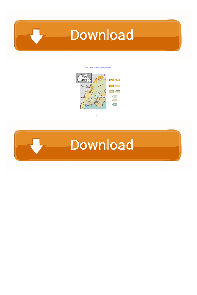

[Yellow Submarine Background Posted By John Simpson](https://byltly.com/25kp0p)



[Yellow Submarine Background Posted By John Simpson](https://byltly.com/25kp0p)